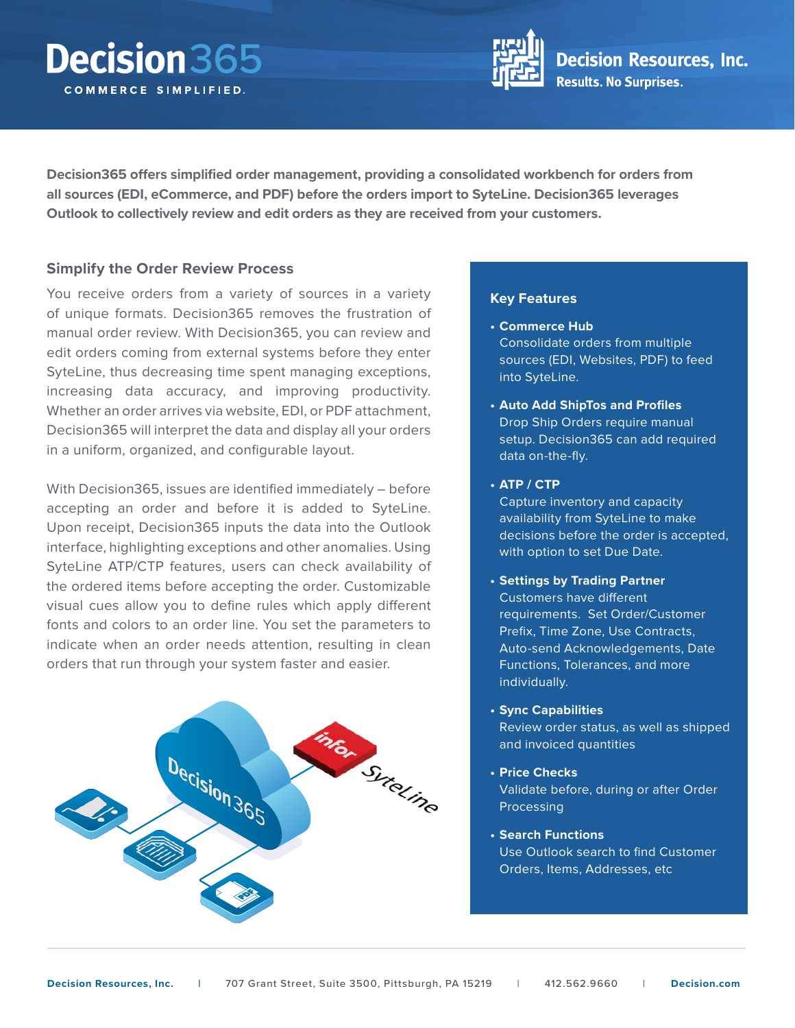# Decision 365 COMMERCE SIMPLIFIED.



**Decision365 offers simplified order management, providing a consolidated workbench for orders from all sources (EDI, eCommerce, and PDF) before the orders import to SyteLine. Decision365 leverages Outlook to collectively review and edit orders as they are received from your customers.**

## **Simplify the Order Review Process**

You receive orders from a variety of sources in a variety of unique formats. Decision365 removes the frustration of manual order review. With Decision365, you can review and edit orders coming from external systems before they enter SyteLine, thus decreasing time spent managing exceptions, increasing data accuracy, and improving productivity. Whether an order arrives via website, EDI, or PDF attachment, Decision365 will interpret the data and display all your orders in a uniform, organized, and configurable layout.

With Decision365, issues are identified immediately – before accepting an order and before it is added to SyteLine. Upon receipt, Decision365 inputs the data into the Outlook interface, highlighting exceptions and other anomalies. Using SyteLine ATP/CTP features, users can check availability of the ordered items before accepting the order. Customizable visual cues allow you to define rules which apply different fonts and colors to an order line. You set the parameters to indicate when an order needs attention, resulting in clean orders that run through your system faster and easier.



### **Key Features**

- **• Commerce Hub** Consolidate orders from multiple sources (EDI, Websites, PDF) to feed into SyteLine.
- **• Auto Add ShipTos and Profiles** Drop Ship Orders require manual setup. Decision365 can add required data on-the-fly.

### **• ATP / CTP**

Capture inventory and capacity availability from SyteLine to make decisions before the order is accepted, with option to set Due Date.

- **• Settings by Trading Partner** Customers have different requirements. Set Order/Customer Prefix, Time Zone, Use Contracts, Auto-send Acknowledgements, Date Functions, Tolerances, and more individually.
- **• Sync Capabilities**

Review order status, as well as shipped and invoiced quantities

**• Price Checks**

Validate before, during or after Order **Processing** 

**• Search Functions** Use Outlook search to find Customer Orders, Items, Addresses, etc